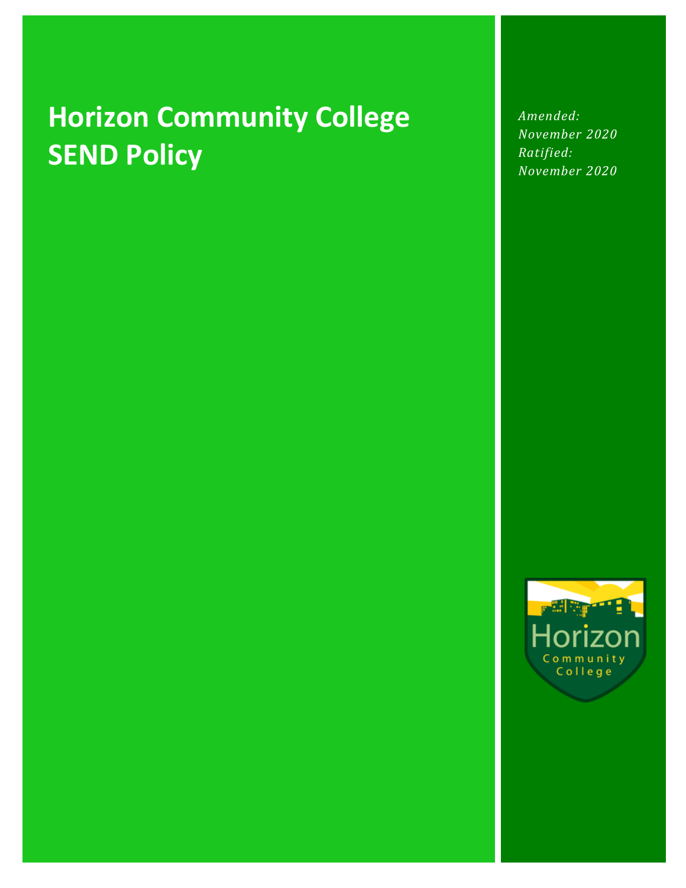# **Horizon Community College SEND Policy**

*Amended: November 2020 Ratified: November 2020*

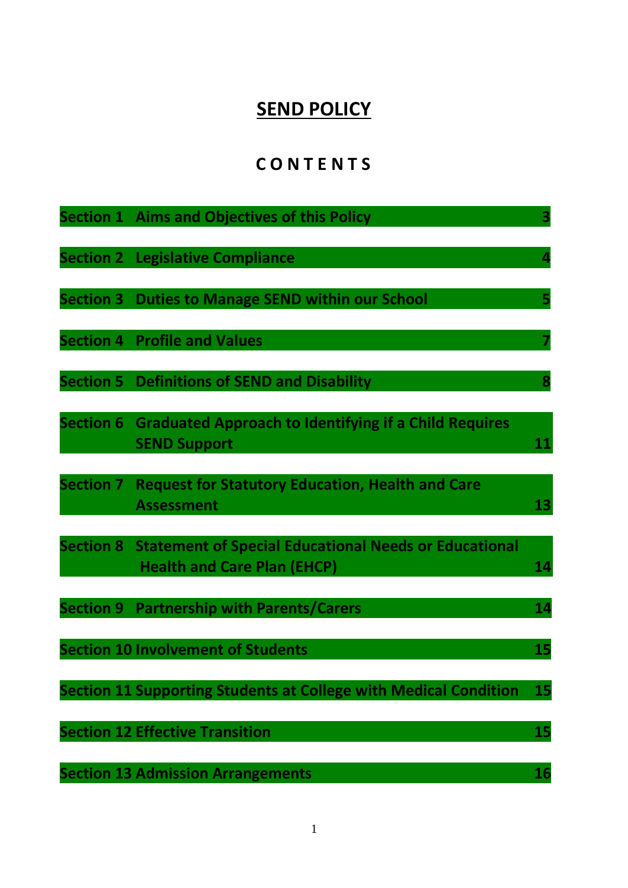## **SEND POLICY**

## **C O N T E N T S**

|                  | Section 1 Aims and Objectives of this Policy                                                                 |           |
|------------------|--------------------------------------------------------------------------------------------------------------|-----------|
|                  | <b>Section 2 Legislative Compliance</b>                                                                      |           |
|                  | <b>Section 3 Duties to Manage SEND within our School</b>                                                     |           |
|                  | <b>Section 4 Profile and Values</b>                                                                          |           |
|                  | <b>Section 5 Definitions of SEND and Disability</b>                                                          |           |
|                  | Section 6 Graduated Approach to Identifying if a Child Requires<br><b>SEND Support</b>                       | 11        |
| <b>Section 7</b> | <b>Request for Statutory Education, Health and Care</b><br><b>Assessment</b>                                 | 13        |
|                  | <b>Section 8 Statement of Special Educational Needs or Educational</b><br><b>Health and Care Plan (EHCP)</b> | 14        |
|                  | <b>Section 9 Partnership with Parents/Carers</b>                                                             | 14        |
|                  | <b>Section 10 Involvement of Students</b>                                                                    | 15        |
|                  | <b>Section 11 Supporting Students at College with Medical Condition</b>                                      | 15        |
|                  | <b>Section 12 Effective Transition</b>                                                                       | <b>15</b> |
|                  | <b>Section 13 Admission Arrangements</b>                                                                     | 16        |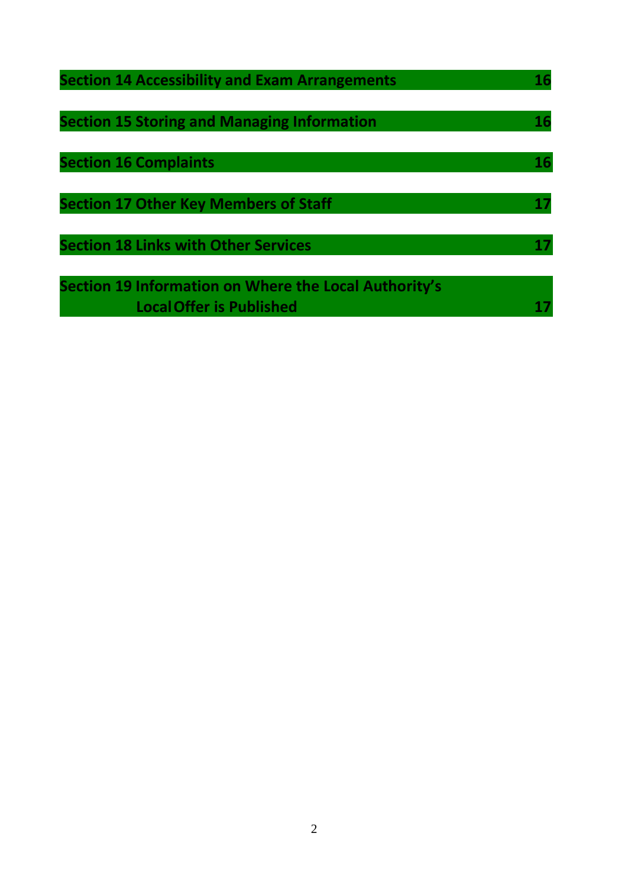| <b>Section 14 Accessibility and Exam Arrangements</b>                                    |  |
|------------------------------------------------------------------------------------------|--|
| <b>Section 15 Storing and Managing Information</b>                                       |  |
| <b>Section 16 Complaints</b>                                                             |  |
| <b>Section 17 Other Key Members of Staff</b>                                             |  |
| <b>Section 18 Links with Other Services</b>                                              |  |
| Section 19 Information on Where the Local Authority's<br><b>Local Offer is Published</b> |  |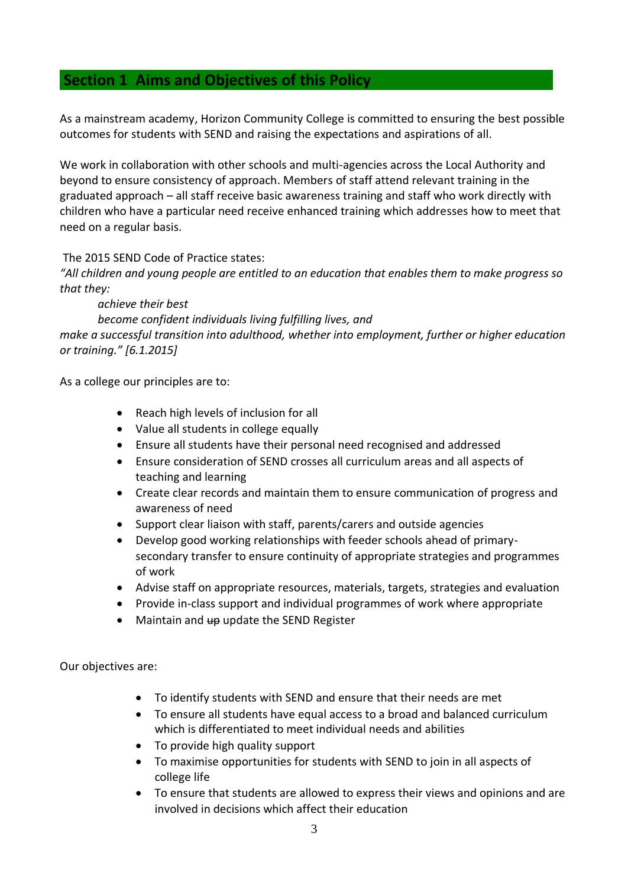## **Section 1 Aims and Objectives of this Policy**

As a mainstream academy, Horizon Community College is committed to ensuring the best possible outcomes for students with SEND and raising the expectations and aspirations of all.

We work in collaboration with other schools and multi-agencies across the Local Authority and beyond to ensure consistency of approach. Members of staff attend relevant training in the graduated approach – all staff receive basic awareness training and staff who work directly with children who have a particular need receive enhanced training which addresses how to meet that need on a regular basis.

#### The 2015 SEND Code of Practice states:

*"All children and young people are entitled to an education that enables them to make progress so that they:*

#### *achieve their best*

*become confident individuals living fulfilling lives, and make a successful transition into adulthood, whether into employment, further or higher education or training." [6.1.2015]*

As a college our principles are to:

- Reach high levels of inclusion for all
- Value all students in college equally
- Ensure all students have their personal need recognised and addressed
- Ensure consideration of SEND crosses all curriculum areas and all aspects of teaching and learning
- Create clear records and maintain them to ensure communication of progress and awareness of need
- Support clear liaison with staff, parents/carers and outside agencies
- Develop good working relationships with feeder schools ahead of primarysecondary transfer to ensure continuity of appropriate strategies and programmes of work
- Advise staff on appropriate resources, materials, targets, strategies and evaluation
- Provide in-class support and individual programmes of work where appropriate
- Maintain and  $\theta$  update the SEND Register

Our objectives are:

- To identify students with SEND and ensure that their needs are met
- To ensure all students have equal access to a broad and balanced curriculum which is differentiated to meet individual needs and abilities
- To provide high quality support
- To maximise opportunities for students with SEND to join in all aspects of college life
- To ensure that students are allowed to express their views and opinions and are involved in decisions which affect their education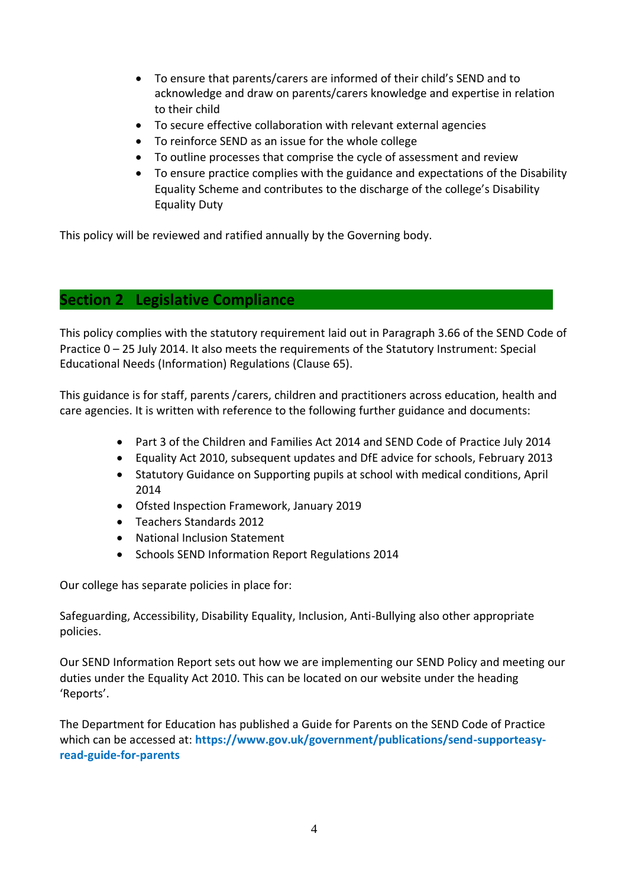- To ensure that parents/carers are informed of their child's SEND and to acknowledge and draw on parents/carers knowledge and expertise in relation to their child
- To secure effective collaboration with relevant external agencies
- To reinforce SEND as an issue for the whole college
- To outline processes that comprise the cycle of assessment and review
- To ensure practice complies with the guidance and expectations of the Disability Equality Scheme and contributes to the discharge of the college's Disability Equality Duty

This policy will be reviewed and ratified annually by the Governing body.

## **Section 2 Legislative Compliance**

This policy complies with the statutory requirement laid out in Paragraph 3.66 of the SEND Code of Practice 0 – 25 July 2014. It also meets the requirements of the Statutory Instrument: Special Educational Needs (Information) Regulations (Clause 65).

This guidance is for staff, parents /carers, children and practitioners across education, health and care agencies. It is written with reference to the following further guidance and documents:

- Part 3 of the Children and Families Act 2014 and SEND Code of Practice July 2014
- Equality Act 2010, subsequent updates and DfE advice for schools, February 2013
- Statutory Guidance on Supporting pupils at school with medical conditions, April 2014
- Ofsted Inspection Framework, January 2019
- Teachers Standards 2012
- National Inclusion Statement
- Schools SEND Information Report Regulations 2014

Our college has separate policies in place for:

Safeguarding, Accessibility, Disability Equality, Inclusion, Anti-Bullying also other appropriate policies.

Our SEND Information Report sets out how we are implementing our SEND Policy and meeting our duties under the Equality Act 2010. This can be located on our website under the heading 'Reports'.

The Department for Education has published a Guide for Parents on the SEND Code of Practice which can be accessed at: **https://www.gov.uk/government/publications/send-supporteasyread-guide-for-parents**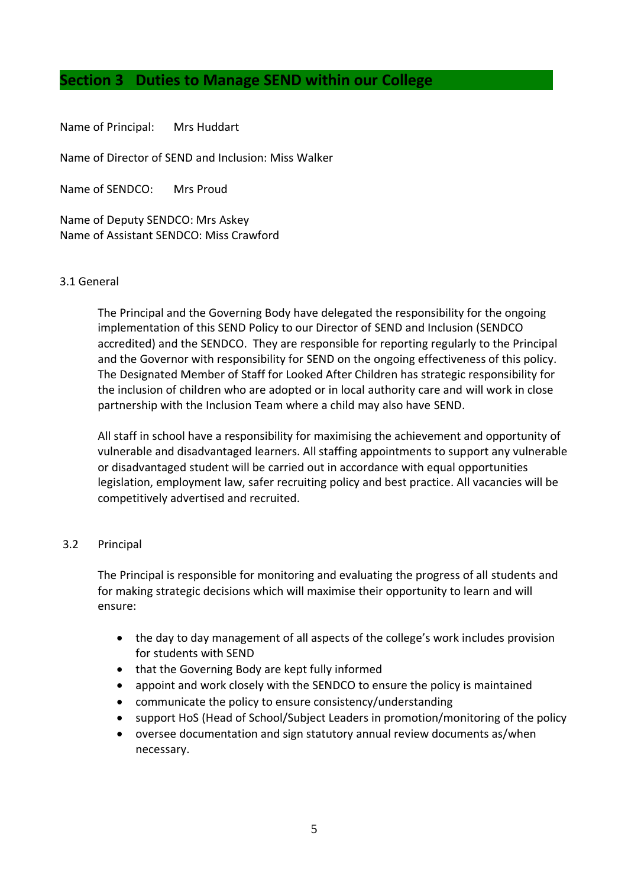## **Section 3 Duties to Manage SEND within our College**

Name of Principal: Mrs Huddart

Name of Director of SEND and Inclusion: Miss Walker

Name of SENDCO: Mrs Proud

Name of Deputy SENDCO: Mrs Askey Name of Assistant SENDCO: Miss Crawford

#### 3.1 General

The Principal and the Governing Body have delegated the responsibility for the ongoing implementation of this SEND Policy to our Director of SEND and Inclusion (SENDCO accredited) and the SENDCO. They are responsible for reporting regularly to the Principal and the Governor with responsibility for SEND on the ongoing effectiveness of this policy. The Designated Member of Staff for Looked After Children has strategic responsibility for the inclusion of children who are adopted or in local authority care and will work in close partnership with the Inclusion Team where a child may also have SEND.

All staff in school have a responsibility for maximising the achievement and opportunity of vulnerable and disadvantaged learners. All staffing appointments to support any vulnerable or disadvantaged student will be carried out in accordance with equal opportunities legislation, employment law, safer recruiting policy and best practice. All vacancies will be competitively advertised and recruited.

#### 3.2 Principal

The Principal is responsible for monitoring and evaluating the progress of all students and for making strategic decisions which will maximise their opportunity to learn and will ensure:

- the day to day management of all aspects of the college's work includes provision for students with SEND
- that the Governing Body are kept fully informed
- appoint and work closely with the SENDCO to ensure the policy is maintained
- communicate the policy to ensure consistency/understanding
- support HoS (Head of School/Subject Leaders in promotion/monitoring of the policy
- oversee documentation and sign statutory annual review documents as/when necessary.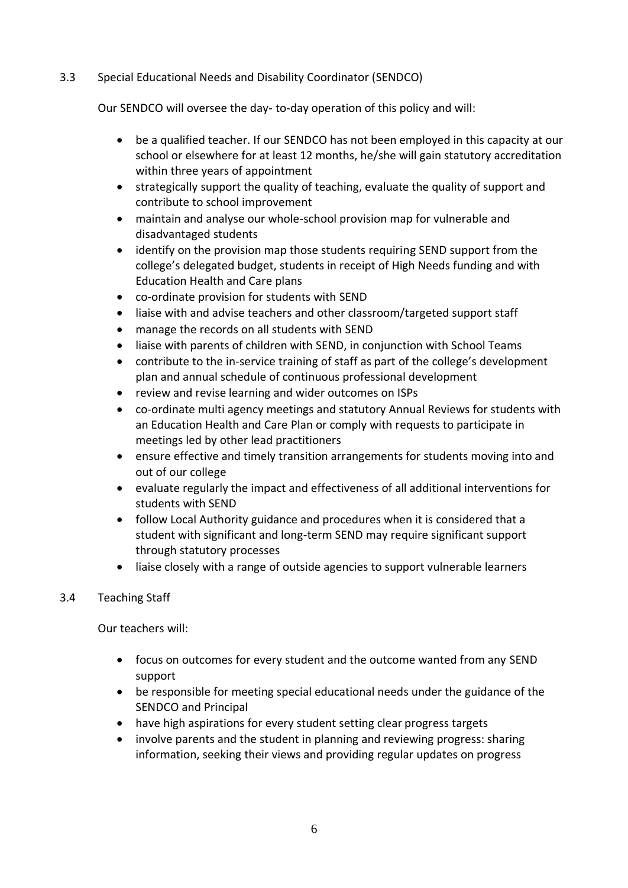#### 3.3 Special Educational Needs and Disability Coordinator (SENDCO)

Our SENDCO will oversee the day- to-day operation of this policy and will:

- be a qualified teacher. If our SENDCO has not been employed in this capacity at our school or elsewhere for at least 12 months, he/she will gain statutory accreditation within three years of appointment
- strategically support the quality of teaching, evaluate the quality of support and contribute to school improvement
- maintain and analyse our whole-school provision map for vulnerable and disadvantaged students
- identify on the provision map those students requiring SEND support from the college's delegated budget, students in receipt of High Needs funding and with Education Health and Care plans
- co-ordinate provision for students with SEND
- liaise with and advise teachers and other classroom/targeted support staff
- manage the records on all students with SEND
- liaise with parents of children with SEND, in conjunction with School Teams
- contribute to the in-service training of staff as part of the college's development plan and annual schedule of continuous professional development
- review and revise learning and wider outcomes on ISPs
- co-ordinate multi agency meetings and statutory Annual Reviews for students with an Education Health and Care Plan or comply with requests to participate in meetings led by other lead practitioners
- ensure effective and timely transition arrangements for students moving into and out of our college
- evaluate regularly the impact and effectiveness of all additional interventions for students with SEND
- follow Local Authority guidance and procedures when it is considered that a student with significant and long-term SEND may require significant support through statutory processes
- liaise closely with a range of outside agencies to support vulnerable learners

#### 3.4 Teaching Staff

Our teachers will:

- focus on outcomes for every student and the outcome wanted from any SEND support
- be responsible for meeting special educational needs under the guidance of the SENDCO and Principal
- have high aspirations for every student setting clear progress targets
- involve parents and the student in planning and reviewing progress: sharing information, seeking their views and providing regular updates on progress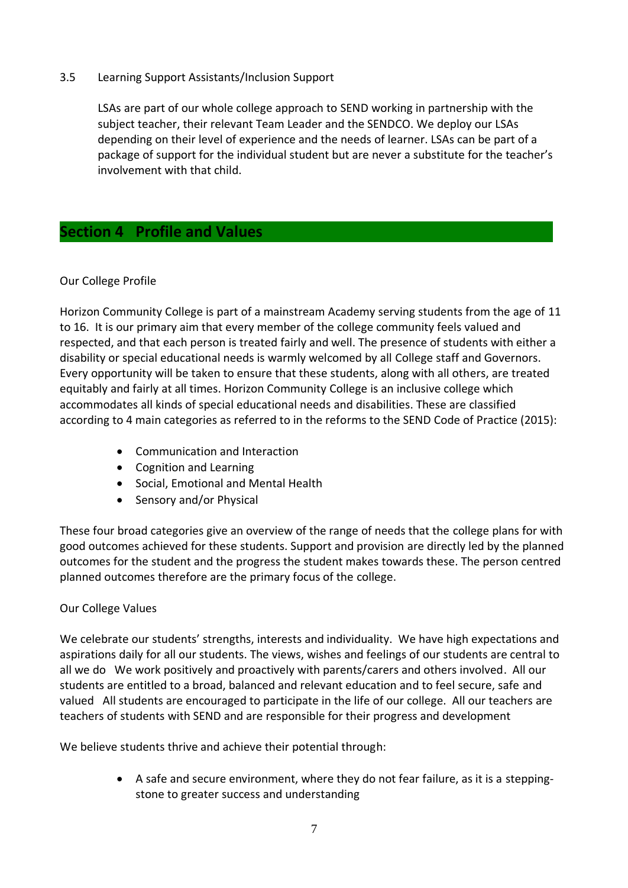#### 3.5 Learning Support Assistants/Inclusion Support

LSAs are part of our whole college approach to SEND working in partnership with the subject teacher, their relevant Team Leader and the SENDCO. We deploy our LSAs depending on their level of experience and the needs of learner. LSAs can be part of a package of support for the individual student but are never a substitute for the teacher's involvement with that child.

## **Section 4 Profile and Values**

#### Our College Profile

Horizon Community College is part of a mainstream Academy serving students from the age of 11 to 16. It is our primary aim that every member of the college community feels valued and respected, and that each person is treated fairly and well. The presence of students with either a disability or special educational needs is warmly welcomed by all College staff and Governors. Every opportunity will be taken to ensure that these students, along with all others, are treated equitably and fairly at all times. Horizon Community College is an inclusive college which accommodates all kinds of special educational needs and disabilities. These are classified according to 4 main categories as referred to in the reforms to the SEND Code of Practice (2015):

- Communication and Interaction
- Cognition and Learning
- Social, Emotional and Mental Health
- Sensory and/or Physical

These four broad categories give an overview of the range of needs that the college plans for with good outcomes achieved for these students. Support and provision are directly led by the planned outcomes for the student and the progress the student makes towards these. The person centred planned outcomes therefore are the primary focus of the college.

#### Our College Values

We celebrate our students' strengths, interests and individuality. We have high expectations and aspirations daily for all our students. The views, wishes and feelings of our students are central to all we do We work positively and proactively with parents/carers and others involved. All our students are entitled to a broad, balanced and relevant education and to feel secure, safe and valued All students are encouraged to participate in the life of our college. All our teachers are teachers of students with SEND and are responsible for their progress and development

We believe students thrive and achieve their potential through:

• A safe and secure environment, where they do not fear failure, as it is a steppingstone to greater success and understanding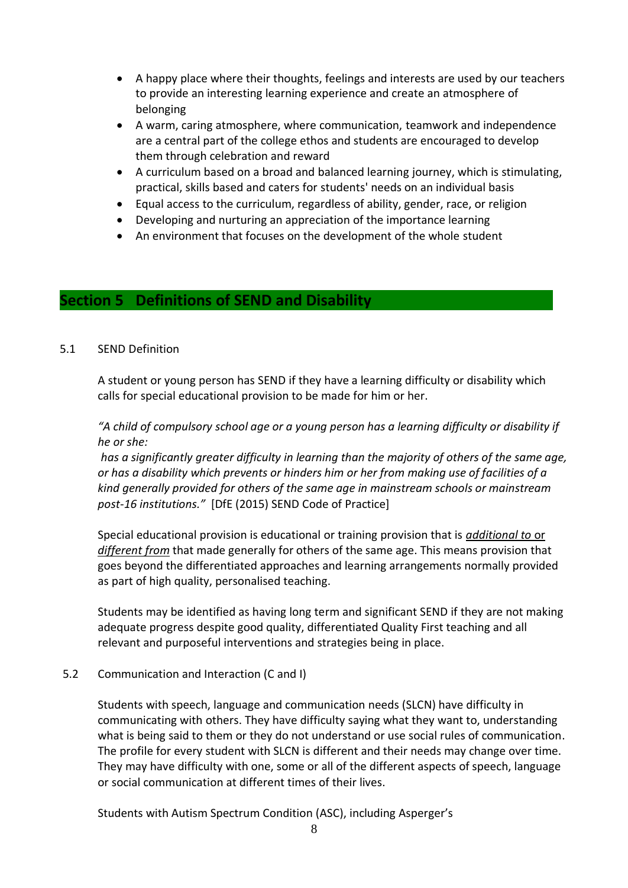- A happy place where their thoughts, feelings and interests are used by our teachers to provide an interesting learning experience and create an atmosphere of belonging
- A warm, caring atmosphere, where communication, teamwork and independence are a central part of the college ethos and students are encouraged to develop them through celebration and reward
- A curriculum based on a broad and balanced learning journey, which is stimulating, practical, skills based and caters for students' needs on an individual basis
- Equal access to the curriculum, regardless of ability, gender, race, or religion
- Developing and nurturing an appreciation of the importance learning
- An environment that focuses on the development of the whole student

## **Section 5 Definitions of SEND and Disability**

#### 5.1 SEND Definition

A student or young person has SEND if they have a learning difficulty or disability which calls for special educational provision to be made for him or her.

#### *"A child of compulsory school age or a young person has a learning difficulty or disability if he or she:*

*has a significantly greater difficulty in learning than the majority of others of the same age, or has a disability which prevents or hinders him or her from making use of facilities of a kind generally provided for others of the same age in mainstream schools or mainstream post-16 institutions."* [DfE (2015) SEND Code of Practice]

Special educational provision is educational or training provision that is *additional to* or *different from* that made generally for others of the same age. This means provision that goes beyond the differentiated approaches and learning arrangements normally provided as part of high quality, personalised teaching.

Students may be identified as having long term and significant SEND if they are not making adequate progress despite good quality, differentiated Quality First teaching and all relevant and purposeful interventions and strategies being in place.

#### 5.2 Communication and Interaction (C and I)

Students with speech, language and communication needs (SLCN) have difficulty in communicating with others. They have difficulty saying what they want to, understanding what is being said to them or they do not understand or use social rules of communication. The profile for every student with SLCN is different and their needs may change over time. They may have difficulty with one, some or all of the different aspects of speech, language or social communication at different times of their lives.

Students with Autism Spectrum Condition (ASC), including Asperger's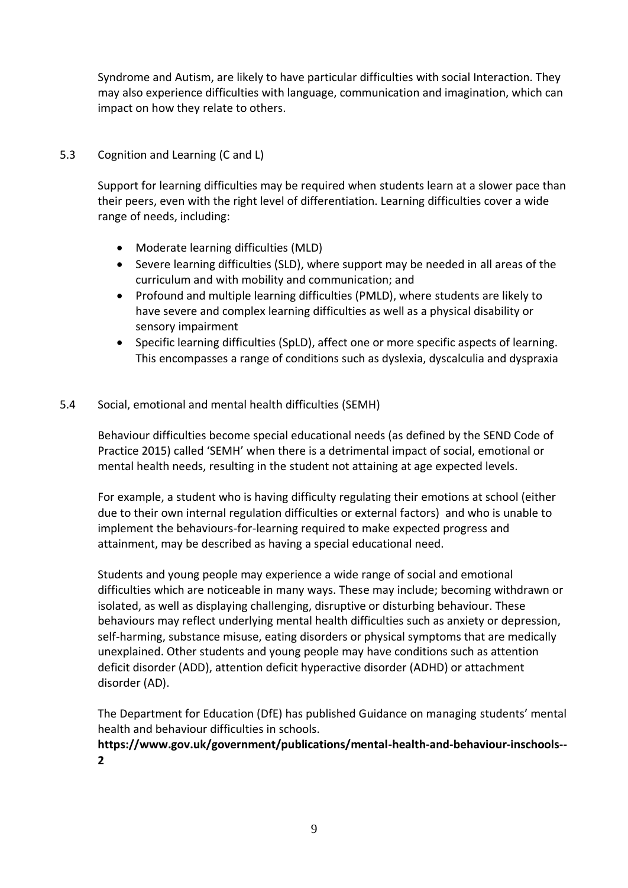Syndrome and Autism, are likely to have particular difficulties with social Interaction. They may also experience difficulties with language, communication and imagination, which can impact on how they relate to others.

#### 5.3 Cognition and Learning (C and L)

Support for learning difficulties may be required when students learn at a slower pace than their peers, even with the right level of differentiation. Learning difficulties cover a wide range of needs, including:

- Moderate learning difficulties (MLD)
- Severe learning difficulties (SLD), where support may be needed in all areas of the curriculum and with mobility and communication; and
- Profound and multiple learning difficulties (PMLD), where students are likely to have severe and complex learning difficulties as well as a physical disability or sensory impairment
- Specific learning difficulties (SpLD), affect one or more specific aspects of learning. This encompasses a range of conditions such as dyslexia, dyscalculia and dyspraxia

#### 5.4 Social, emotional and mental health difficulties (SEMH)

Behaviour difficulties become special educational needs (as defined by the SEND Code of Practice 2015) called 'SEMH' when there is a detrimental impact of social, emotional or mental health needs, resulting in the student not attaining at age expected levels.

For example, a student who is having difficulty regulating their emotions at school (either due to their own internal regulation difficulties or external factors) and who is unable to implement the behaviours-for-learning required to make expected progress and attainment, may be described as having a special educational need.

Students and young people may experience a wide range of social and emotional difficulties which are noticeable in many ways. These may include; becoming withdrawn or isolated, as well as displaying challenging, disruptive or disturbing behaviour. These behaviours may reflect underlying mental health difficulties such as anxiety or depression, self-harming, substance misuse, eating disorders or physical symptoms that are medically unexplained. Other students and young people may have conditions such as attention deficit disorder (ADD), attention deficit hyperactive disorder (ADHD) or attachment disorder (AD).

The Department for Education (DfE) has published Guidance on managing students' mental health and behaviour difficulties in schools.

**https://www.gov.uk/government/publications/mental-health-and-behaviour-inschools-- 2**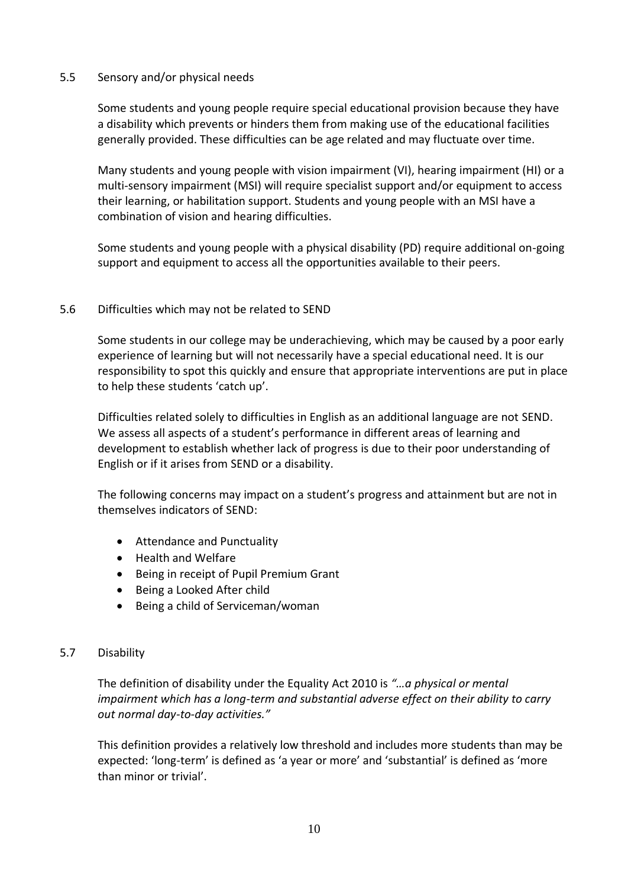#### 5.5 Sensory and/or physical needs

Some students and young people require special educational provision because they have a disability which prevents or hinders them from making use of the educational facilities generally provided. These difficulties can be age related and may fluctuate over time.

Many students and young people with vision impairment (VI), hearing impairment (HI) or a multi-sensory impairment (MSI) will require specialist support and/or equipment to access their learning, or habilitation support. Students and young people with an MSI have a combination of vision and hearing difficulties.

Some students and young people with a physical disability (PD) require additional on-going support and equipment to access all the opportunities available to their peers.

#### 5.6 Difficulties which may not be related to SEND

Some students in our college may be underachieving, which may be caused by a poor early experience of learning but will not necessarily have a special educational need. It is our responsibility to spot this quickly and ensure that appropriate interventions are put in place to help these students 'catch up'.

Difficulties related solely to difficulties in English as an additional language are not SEND. We assess all aspects of a student's performance in different areas of learning and development to establish whether lack of progress is due to their poor understanding of English or if it arises from SEND or a disability.

The following concerns may impact on a student's progress and attainment but are not in themselves indicators of SEND:

- Attendance and Punctuality
- Health and Welfare
- Being in receipt of Pupil Premium Grant
- Being a Looked After child
- Being a child of Serviceman/woman

#### 5.7 Disability

The definition of disability under the Equality Act 2010 is *"…a physical or mental impairment which has a long-term and substantial adverse effect on their ability to carry out normal day-to-day activities."*

This definition provides a relatively low threshold and includes more students than may be expected: 'long-term' is defined as 'a year or more' and 'substantial' is defined as 'more than minor or trivial'.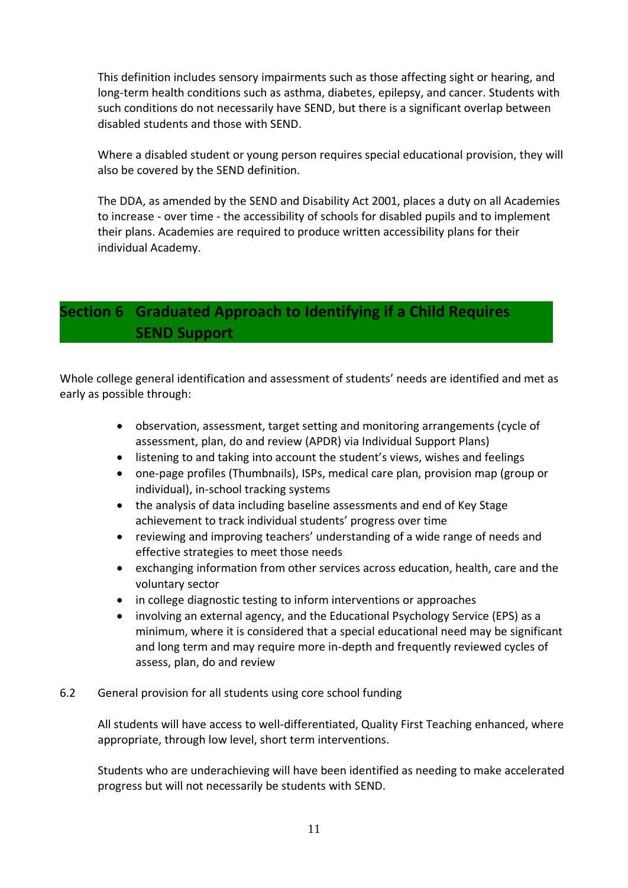This definition includes sensory impairments such as those affecting sight or hearing, and long-term health conditions such as asthma, diabetes, epilepsy, and cancer. Students with such conditions do not necessarily have SEND, but there is a significant overlap between disabled students and those with SEND.

Where a disabled student or young person requires special educational provision, they will also be covered by the SEND definition.

The DDA, as amended by the SEND and Disability Act 2001, places a duty on all Academies to increase - over time - the accessibility of schools for disabled pupils and to implement their plans. Academies are required to produce written accessibility plans for their individual Academy.

## **Section 6 Graduated Approach to Identifying if a Child Requires SEND Support**

Whole college general identification and assessment of students' needs are identified and met as early as possible through:

- observation, assessment, target setting and monitoring arrangements (cycle of assessment, plan, do and review (APDR) via Individual Support Plans)
- listening to and taking into account the student's views, wishes and feelings
- one-page profiles (Thumbnails), ISPs, medical care plan, provision map (group or individual), in-school tracking systems
- the analysis of data including baseline assessments and end of Key Stage achievement to track individual students' progress over time
- reviewing and improving teachers' understanding of a wide range of needs and effective strategies to meet those needs
- exchanging information from other services across education, health, care and the voluntary sector
- in college diagnostic testing to inform interventions or approaches
- involving an external agency, and the Educational Psychology Service (EPS) as a minimum, where it is considered that a special educational need may be significant and long term and may require more in-depth and frequently reviewed cycles of assess, plan, do and review
- 6.2 General provision for all students using core school funding

All students will have access to well-differentiated, Quality First Teaching enhanced, where appropriate, through low level, short term interventions.

Students who are underachieving will have been identified as needing to make accelerated progress but will not necessarily be students with SEND.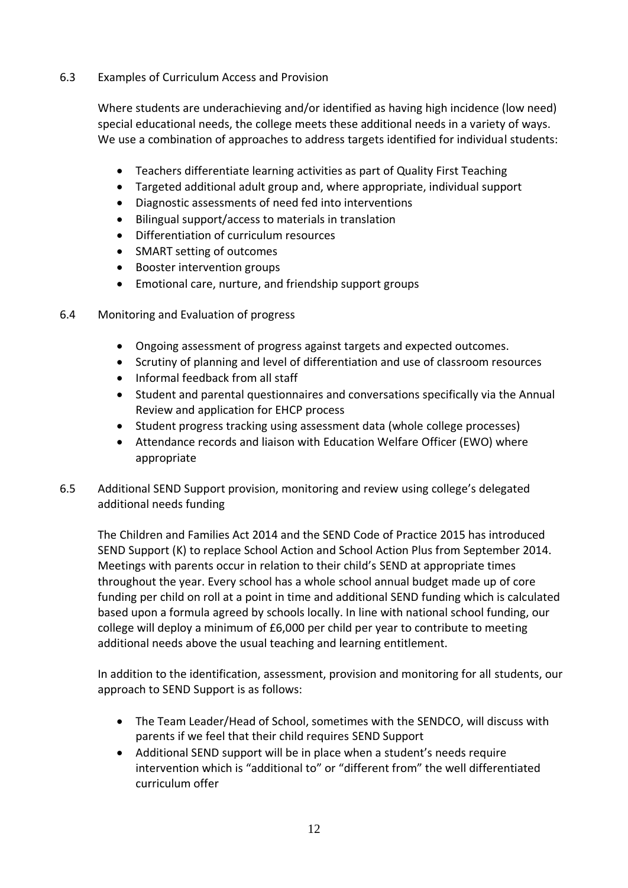#### 6.3 Examples of Curriculum Access and Provision

Where students are underachieving and/or identified as having high incidence (low need) special educational needs, the college meets these additional needs in a variety of ways. We use a combination of approaches to address targets identified for individual students:

- Teachers differentiate learning activities as part of Quality First Teaching
- Targeted additional adult group and, where appropriate, individual support
- Diagnostic assessments of need fed into interventions
- Bilingual support/access to materials in translation
- Differentiation of curriculum resources
- SMART setting of outcomes
- Booster intervention groups
- Emotional care, nurture, and friendship support groups
- 6.4 Monitoring and Evaluation of progress
	- Ongoing assessment of progress against targets and expected outcomes.
	- Scrutiny of planning and level of differentiation and use of classroom resources
	- Informal feedback from all staff
	- Student and parental questionnaires and conversations specifically via the Annual Review and application for EHCP process
	- Student progress tracking using assessment data (whole college processes)
	- Attendance records and liaison with Education Welfare Officer (EWO) where appropriate
- 6.5 Additional SEND Support provision, monitoring and review using college's delegated additional needs funding

The Children and Families Act 2014 and the SEND Code of Practice 2015 has introduced SEND Support (K) to replace School Action and School Action Plus from September 2014. Meetings with parents occur in relation to their child's SEND at appropriate times throughout the year. Every school has a whole school annual budget made up of core funding per child on roll at a point in time and additional SEND funding which is calculated based upon a formula agreed by schools locally. In line with national school funding, our college will deploy a minimum of £6,000 per child per year to contribute to meeting additional needs above the usual teaching and learning entitlement.

In addition to the identification, assessment, provision and monitoring for all students, our approach to SEND Support is as follows:

- The Team Leader/Head of School, sometimes with the SENDCO, will discuss with parents if we feel that their child requires SEND Support
- Additional SEND support will be in place when a student's needs require intervention which is "additional to" or "different from" the well differentiated curriculum offer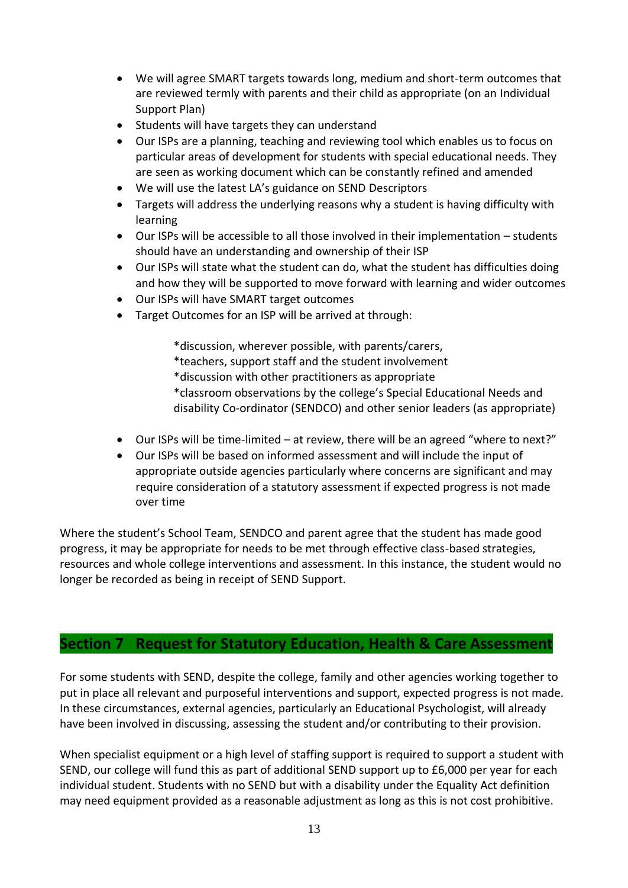- We will agree SMART targets towards long, medium and short-term outcomes that are reviewed termly with parents and their child as appropriate (on an Individual Support Plan)
- Students will have targets they can understand
- Our ISPs are a planning, teaching and reviewing tool which enables us to focus on particular areas of development for students with special educational needs. They are seen as working document which can be constantly refined and amended
- We will use the latest LA's guidance on SEND Descriptors
- Targets will address the underlying reasons why a student is having difficulty with learning
- Our ISPs will be accessible to all those involved in their implementation students should have an understanding and ownership of their ISP
- Our ISPs will state what the student can do, what the student has difficulties doing and how they will be supported to move forward with learning and wider outcomes
- Our ISPs will have SMART target outcomes
- Target Outcomes for an ISP will be arrived at through:

\*discussion, wherever possible, with parents/carers, \*teachers, support staff and the student involvement \*discussion with other practitioners as appropriate \*classroom observations by the college's Special Educational Needs and disability Co-ordinator (SENDCO) and other senior leaders (as appropriate)

- Our ISPs will be time-limited at review, there will be an agreed "where to next?"
- Our ISPs will be based on informed assessment and will include the input of appropriate outside agencies particularly where concerns are significant and may require consideration of a statutory assessment if expected progress is not made over time

Where the student's School Team, SENDCO and parent agree that the student has made good progress, it may be appropriate for needs to be met through effective class-based strategies, resources and whole college interventions and assessment. In this instance, the student would no longer be recorded as being in receipt of SEND Support.

## **Section 7 Request for Statutory Education, Health & Care Assessment**

For some students with SEND, despite the college, family and other agencies working together to put in place all relevant and purposeful interventions and support, expected progress is not made. In these circumstances, external agencies, particularly an Educational Psychologist, will already have been involved in discussing, assessing the student and/or contributing to their provision.

When specialist equipment or a high level of staffing support is required to support a student with SEND, our college will fund this as part of additional SEND support up to £6,000 per year for each individual student. Students with no SEND but with a disability under the Equality Act definition may need equipment provided as a reasonable adjustment as long as this is not cost prohibitive.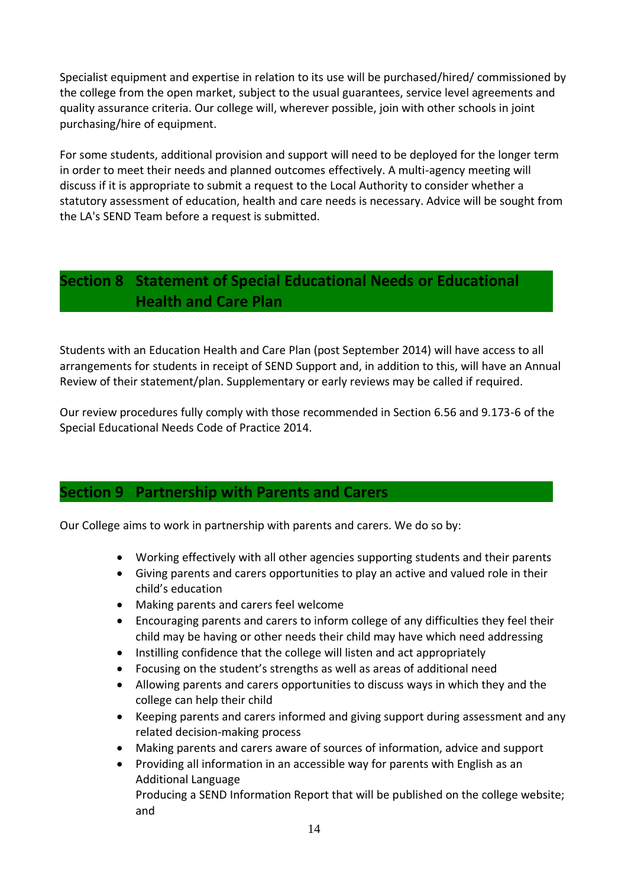Specialist equipment and expertise in relation to its use will be purchased/hired/ commissioned by the college from the open market, subject to the usual guarantees, service level agreements and quality assurance criteria. Our college will, wherever possible, join with other schools in joint purchasing/hire of equipment.

For some students, additional provision and support will need to be deployed for the longer term in order to meet their needs and planned outcomes effectively. A multi-agency meeting will discuss if it is appropriate to submit a request to the Local Authority to consider whether a statutory assessment of education, health and care needs is necessary. Advice will be sought from the LA's SEND Team before a request is submitted.

## **Section 8 Statement of Special Educational Needs or Educational Health and Care Plan**

Students with an Education Health and Care Plan (post September 2014) will have access to all arrangements for students in receipt of SEND Support and, in addition to this, will have an Annual Review of their statement/plan. Supplementary or early reviews may be called if required.

Our review procedures fully comply with those recommended in Section 6.56 and 9.173-6 of the Special Educational Needs Code of Practice 2014.

## **Section 9 Partnership with Parents and Carers**

Our College aims to work in partnership with parents and carers. We do so by:

- Working effectively with all other agencies supporting students and their parents
- Giving parents and carers opportunities to play an active and valued role in their child's education
- Making parents and carers feel welcome
- Encouraging parents and carers to inform college of any difficulties they feel their child may be having or other needs their child may have which need addressing
- Instilling confidence that the college will listen and act appropriately
- Focusing on the student's strengths as well as areas of additional need
- Allowing parents and carers opportunities to discuss ways in which they and the college can help their child
- Keeping parents and carers informed and giving support during assessment and any related decision-making process
- Making parents and carers aware of sources of information, advice and support
- Providing all information in an accessible way for parents with English as an Additional Language

Producing a SEND Information Report that will be published on the college website; and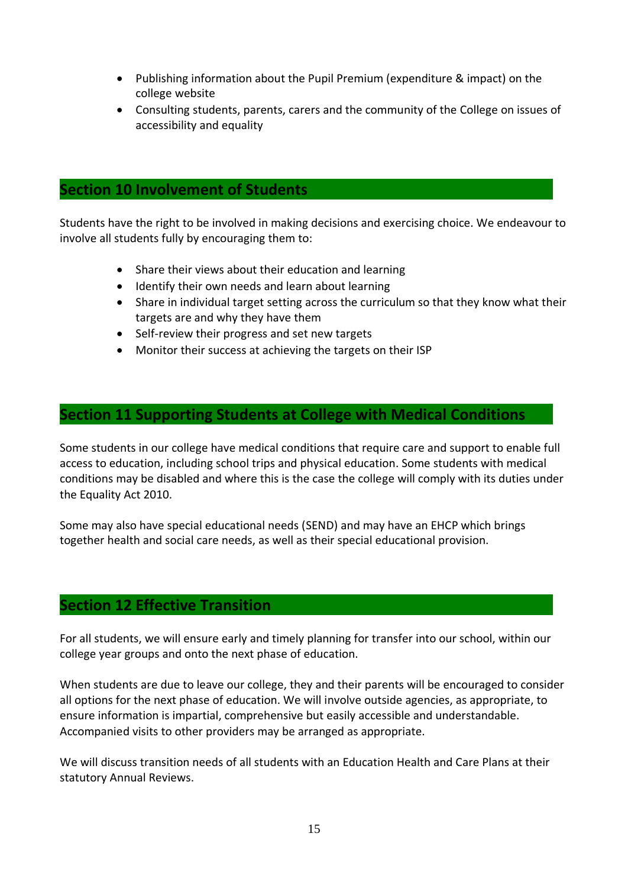- Publishing information about the Pupil Premium (expenditure & impact) on the college website
- Consulting students, parents, carers and the community of the College on issues of accessibility and equality

### **Section 10 Involvement of Students**

Students have the right to be involved in making decisions and exercising choice. We endeavour to involve all students fully by encouraging them to:

- Share their views about their education and learning
- Identify their own needs and learn about learning
- Share in individual target setting across the curriculum so that they know what their targets are and why they have them
- Self-review their progress and set new targets
- Monitor their success at achieving the targets on their ISP

## **Section 11 Supporting Students at College with Medical Conditions**

Some students in our college have medical conditions that require care and support to enable full access to education, including school trips and physical education. Some students with medical conditions may be disabled and where this is the case the college will comply with its duties under the Equality Act 2010.

Some may also have special educational needs (SEND) and may have an EHCP which brings together health and social care needs, as well as their special educational provision.

## **Section 12 Effective Transition**

For all students, we will ensure early and timely planning for transfer into our school, within our college year groups and onto the next phase of education.

When students are due to leave our college, they and their parents will be encouraged to consider all options for the next phase of education. We will involve outside agencies, as appropriate, to ensure information is impartial, comprehensive but easily accessible and understandable. Accompanied visits to other providers may be arranged as appropriate.

We will discuss transition needs of all students with an Education Health and Care Plans at their statutory Annual Reviews.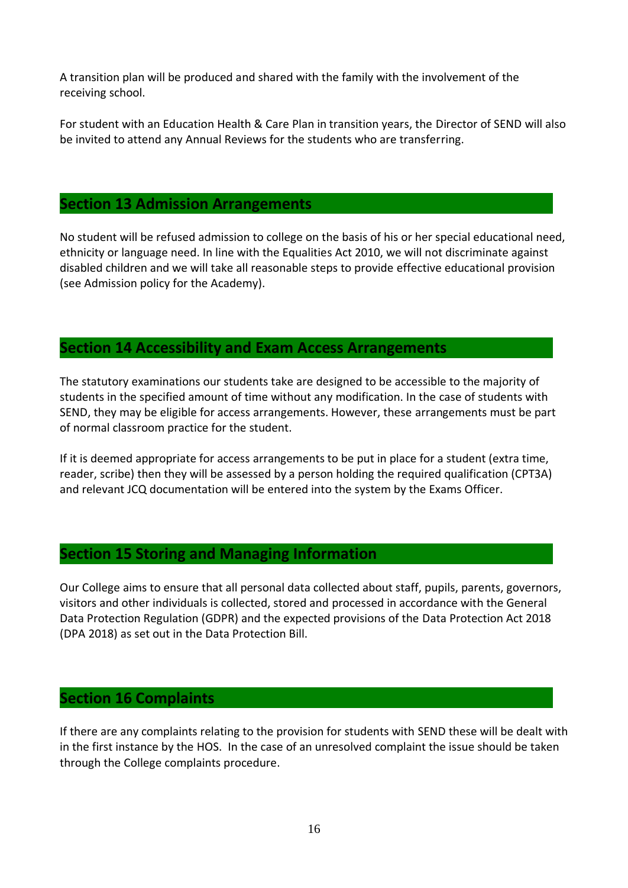A transition plan will be produced and shared with the family with the involvement of the receiving school.

For student with an Education Health & Care Plan in transition years, the Director of SEND will also be invited to attend any Annual Reviews for the students who are transferring.

#### **Section 13 Admission Arrangements**

No student will be refused admission to college on the basis of his or her special educational need, ethnicity or language need. In line with the Equalities Act 2010, we will not discriminate against disabled children and we will take all reasonable steps to provide effective educational provision (see Admission policy for the Academy).

### **Section 14 Accessibility and Exam Access Arrangements**

The statutory examinations our students take are designed to be accessible to the majority of students in the specified amount of time without any modification. In the case of students with SEND, they may be eligible for access arrangements. However, these arrangements must be part of normal classroom practice for the student.

If it is deemed appropriate for access arrangements to be put in place for a student (extra time, reader, scribe) then they will be assessed by a person holding the required qualification (CPT3A) and relevant JCQ documentation will be entered into the system by the Exams Officer.

## **Section 15 Storing and Managing Information**

Our College aims to ensure that all personal data collected about staff, pupils, parents, governors, visitors and other individuals is collected, stored and processed in accordance with the General Data Protection Regulation (GDPR) and the expected provisions of the Data Protection Act 2018 (DPA 2018) as set out in the Data Protection Bill.

#### **Section 16 Complaints**

If there are any complaints relating to the provision for students with SEND these will be dealt with in the first instance by the HOS. In the case of an unresolved complaint the issue should be taken through the College complaints procedure.